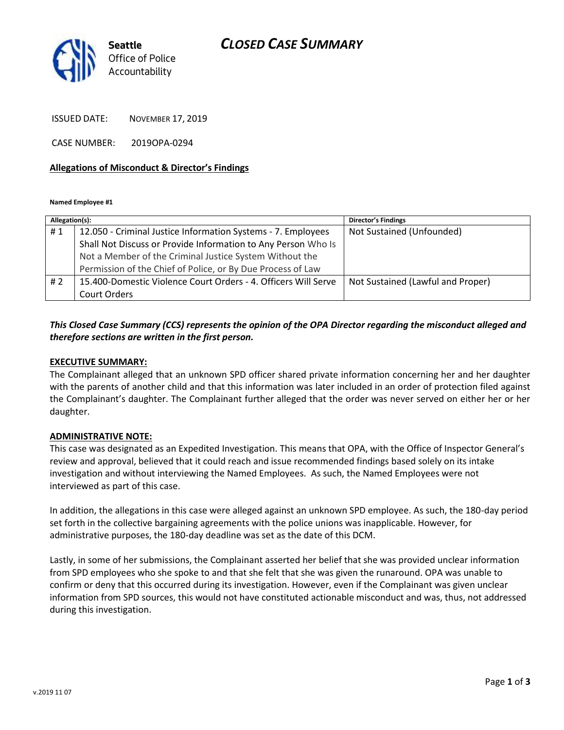# *CLOSED CASE SUMMARY*



ISSUED DATE: NOVEMBER 17, 2019

CASE NUMBER: 2019OPA-0294

### **Allegations of Misconduct & Director's Findings**

**Named Employee #1**

| Allegation(s): |                                                                | <b>Director's Findings</b>        |
|----------------|----------------------------------------------------------------|-----------------------------------|
| #1             | 12.050 - Criminal Justice Information Systems - 7. Employees   | Not Sustained (Unfounded)         |
|                | Shall Not Discuss or Provide Information to Any Person Who Is  |                                   |
|                | Not a Member of the Criminal Justice System Without the        |                                   |
|                | Permission of the Chief of Police, or By Due Process of Law    |                                   |
| # 2            | 15.400-Domestic Violence Court Orders - 4. Officers Will Serve | Not Sustained (Lawful and Proper) |
|                | Court Orders                                                   |                                   |
|                |                                                                |                                   |

## *This Closed Case Summary (CCS) represents the opinion of the OPA Director regarding the misconduct alleged and therefore sections are written in the first person.*

### **EXECUTIVE SUMMARY:**

The Complainant alleged that an unknown SPD officer shared private information concerning her and her daughter with the parents of another child and that this information was later included in an order of protection filed against the Complainant's daughter. The Complainant further alleged that the order was never served on either her or her daughter.

### **ADMINISTRATIVE NOTE:**

This case was designated as an Expedited Investigation. This means that OPA, with the Office of Inspector General's review and approval, believed that it could reach and issue recommended findings based solely on its intake investigation and without interviewing the Named Employees. As such, the Named Employees were not interviewed as part of this case.

In addition, the allegations in this case were alleged against an unknown SPD employee. As such, the 180-day period set forth in the collective bargaining agreements with the police unions was inapplicable. However, for administrative purposes, the 180-day deadline was set as the date of this DCM.

Lastly, in some of her submissions, the Complainant asserted her belief that she was provided unclear information from SPD employees who she spoke to and that she felt that she was given the runaround. OPA was unable to confirm or deny that this occurred during its investigation. However, even if the Complainant was given unclear information from SPD sources, this would not have constituted actionable misconduct and was, thus, not addressed during this investigation.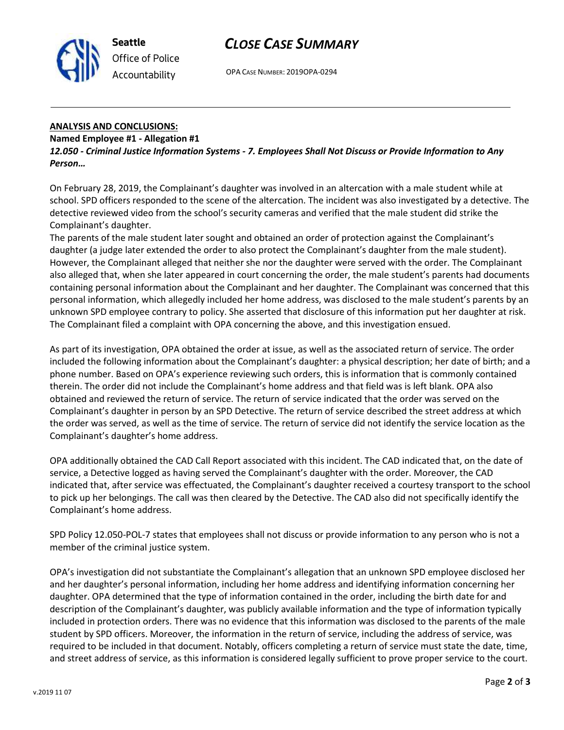

OPA CASE NUMBER: 2019OPA-0294

#### **ANALYSIS AND CONCLUSIONS:**

#### **Named Employee #1 - Allegation #1**

**Seattle**

*Office of Police Accountability*

*12.050 - Criminal Justice Information Systems - 7. Employees Shall Not Discuss or Provide Information to Any Person…*

On February 28, 2019, the Complainant's daughter was involved in an altercation with a male student while at school. SPD officers responded to the scene of the altercation. The incident was also investigated by a detective. The detective reviewed video from the school's security cameras and verified that the male student did strike the Complainant's daughter.

The parents of the male student later sought and obtained an order of protection against the Complainant's daughter (a judge later extended the order to also protect the Complainant's daughter from the male student). However, the Complainant alleged that neither she nor the daughter were served with the order. The Complainant also alleged that, when she later appeared in court concerning the order, the male student's parents had documents containing personal information about the Complainant and her daughter. The Complainant was concerned that this personal information, which allegedly included her home address, was disclosed to the male student's parents by an unknown SPD employee contrary to policy. She asserted that disclosure of this information put her daughter at risk. The Complainant filed a complaint with OPA concerning the above, and this investigation ensued.

As part of its investigation, OPA obtained the order at issue, as well as the associated return of service. The order included the following information about the Complainant's daughter: a physical description; her date of birth; and a phone number. Based on OPA's experience reviewing such orders, this is information that is commonly contained therein. The order did not include the Complainant's home address and that field was is left blank. OPA also obtained and reviewed the return of service. The return of service indicated that the order was served on the Complainant's daughter in person by an SPD Detective. The return of service described the street address at which the order was served, as well as the time of service. The return of service did not identify the service location as the Complainant's daughter's home address.

OPA additionally obtained the CAD Call Report associated with this incident. The CAD indicated that, on the date of service, a Detective logged as having served the Complainant's daughter with the order. Moreover, the CAD indicated that, after service was effectuated, the Complainant's daughter received a courtesy transport to the school to pick up her belongings. The call was then cleared by the Detective. The CAD also did not specifically identify the Complainant's home address.

SPD Policy 12.050-POL-7 states that employees shall not discuss or provide information to any person who is not a member of the criminal justice system.

OPA's investigation did not substantiate the Complainant's allegation that an unknown SPD employee disclosed her and her daughter's personal information, including her home address and identifying information concerning her daughter. OPA determined that the type of information contained in the order, including the birth date for and description of the Complainant's daughter, was publicly available information and the type of information typically included in protection orders. There was no evidence that this information was disclosed to the parents of the male student by SPD officers. Moreover, the information in the return of service, including the address of service, was required to be included in that document. Notably, officers completing a return of service must state the date, time, and street address of service, as this information is considered legally sufficient to prove proper service to the court.